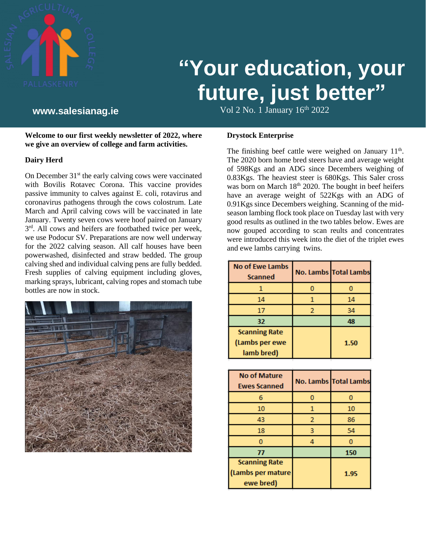![](_page_0_Picture_0.jpeg)

# **"Your education, your future, just better"**

Vol 2 No. 1 January 16th **www.salesianag.ie** 2022

**Welcome to our first weekly newsletter of 2022, where we give an overview of college and farm activities.** 

# **Dairy Herd**

On December  $31<sup>st</sup>$  the early calving cows were vaccinated with Bovilis Rotavec Corona. This vaccine provides passive immunity to calves against E. coli, rotavirus and coronavirus pathogens through the cows colostrum. Late March and April calving cows will be vaccinated in late January. Twenty seven cows were hoof paired on January  $3<sup>rd</sup>$ . All cows and heifers are footbathed twice per week, we use Podocur SV. Preparations are now well underway for the 2022 calving season. All calf houses have been powerwashed, disinfected and straw bedded. The group calving shed and individual calving pens are fully bedded. Fresh supplies of calving equipment including gloves, marking sprays, lubricant, calving ropes and stomach tube bottles are now in stock.

![](_page_0_Picture_7.jpeg)

**Drystock Enterprise**

The finishing beef cattle were weighed on January  $11<sup>th</sup>$ . The 2020 born home bred steers have and average weight of 598Kgs and an ADG since Decembers weighing of 0.83Kgs. The heaviest steer is 680Kgs. This Saler cross was born on March  $18<sup>th</sup>$  2020. The bought in beef heifers have an average weight of 522Kgs with an ADG of 0.91Kgs since Decembers weighing. Scanning of the midseason lambing flock took place on Tuesday last with very good results as outlined in the two tables below. Ewes are now gouped according to scan reults and concentrates were introduced this week into the diet of the triplet ewes and ewe lambs carrying twins.

| <b>No of Ewe Lambs</b><br><b>Scanned</b> |   | No. Lambs Total Lambs |
|------------------------------------------|---|-----------------------|
|                                          |   |                       |
| 14                                       |   | 14                    |
| 17                                       | 2 | 34                    |
| 32                                       |   | 48                    |
| <b>Scanning Rate</b>                     |   |                       |
| (Lambs per ewe                           |   | 1.50                  |
| lamb bred)                               |   |                       |

| <b>No of Mature</b><br><b>Ewes Scanned</b> |   | <b>No. Lambs Total Lambs</b> |
|--------------------------------------------|---|------------------------------|
| 6                                          |   |                              |
| 10                                         | 1 | 10                           |
| 43                                         | 2 | 86                           |
| 18                                         | 3 | 54                           |
|                                            |   |                              |
| 77                                         |   | 150                          |
| <b>Scanning Rate</b>                       |   |                              |
| (Lambs per mature                          |   | 1.95                         |
| ewe bred)                                  |   |                              |